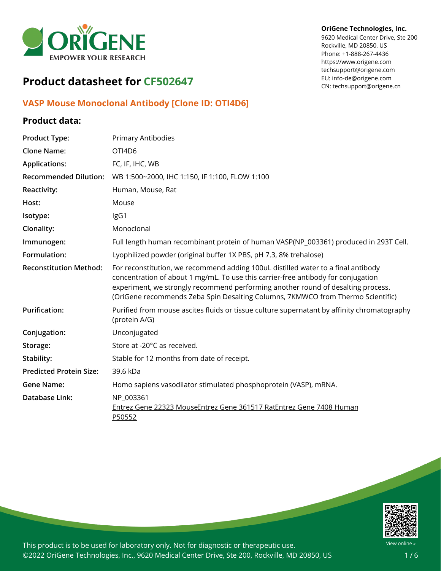

# **Product datasheet for CF502647**

## **VASP Mouse Monoclonal Antibody [Clone ID: OTI4D6]**

### **Product data:**

## **Product Type:** Primary Antibodies **Clone Name:** OTI4D6 **Applications:** FC, IF, IHC, WB **Recommended Dilution:** WB 1:500~2000, IHC 1:150, IF 1:100, FLOW 1:100 **Reactivity:** Human, Mouse, Rat Host: Mouse **Isotype:** IgG1 **Clonality:** Monoclonal **Immunogen:** Full length human recombinant protein of human VASP(NP\_003361) produced in 293T Cell. **Formulation:** Lyophilized powder (original buffer 1X PBS, pH 7.3, 8% trehalose) **Reconstitution Method:** For reconstitution, we recommend adding 100uL distilled water to a final antibody concentration of about 1 mg/mL. To use this carrier-free antibody for conjugation experiment, we strongly recommend performing another round of desalting process. (OriGene recommends Zeba Spin Desalting Columns, 7KMWCO from Thermo Scientific) **Purification:** Purified from mouse ascites fluids or tissue culture supernatant by affinity chromatography (protein A/G) **Conjugation:** Unconjugated Storage: Store at -20°C as received. **Stability:** Stable for 12 months from date of receipt. **Predicted Protein Size:** 39.6 kDa **Gene Name:** Homo sapiens vasodilator stimulated phosphoprotein (VASP), mRNA. **Database Link:** [NP\\_003361](https://www.ncbi.nlm.nih.gov/protein/NP_003361) Entrez Gene 22323 [MouseE](https://www.ncbi.nlm.nih.gov/gene?cmd=Retrieve&dopt=Graphics&list_uids=22323)ntrez Gene [361517](https://www.ncbi.nlm.nih.gov/gene?cmd=Retrieve&dopt=Graphics&list_uids=361517) RatEntrez Gene 7408 [Human](https://www.ncbi.nlm.nih.gov/gene?cmd=Retrieve&dopt=Graphics&list_uids=7408) [P50552](https://www.uniprot.org/uniprot/P50552)



This product is to be used for laboratory only. Not for diagnostic or therapeutic use. ©2022 OriGene Technologies, Inc., 9620 Medical Center Drive, Ste 200, Rockville, MD 20850, US

#### **OriGene Technologies, Inc.**

9620 Medical Center Drive, Ste 200 Rockville, MD 20850, US Phone: +1-888-267-4436 https://www.origene.com techsupport@origene.com EU: info-de@origene.com CN: techsupport@origene.cn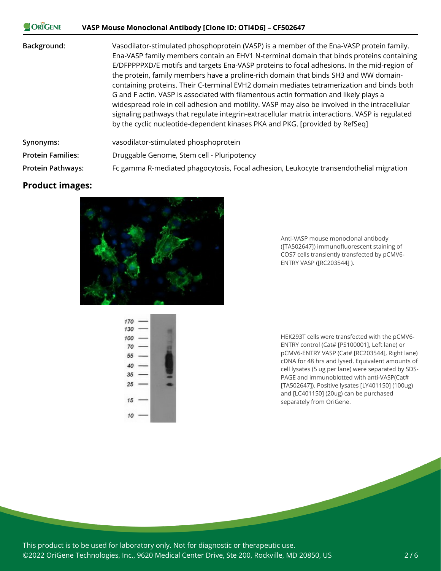| <b>ORIGENE</b>           | VASP Mouse Monoclonal Antibody [Clone ID: OTI4D6] – CF502647                                                                                                                                                                                                                                                                                                                                                                                                                                                                                                                                                                                                                                                                                                                                                                                        |
|--------------------------|-----------------------------------------------------------------------------------------------------------------------------------------------------------------------------------------------------------------------------------------------------------------------------------------------------------------------------------------------------------------------------------------------------------------------------------------------------------------------------------------------------------------------------------------------------------------------------------------------------------------------------------------------------------------------------------------------------------------------------------------------------------------------------------------------------------------------------------------------------|
| Background:              | Vasodilator-stimulated phosphoprotein (VASP) is a member of the Ena-VASP protein family.<br>Ena-VASP family members contain an EHV1 N-terminal domain that binds proteins containing<br>E/DFPPPPXD/E motifs and targets Ena-VASP proteins to focal adhesions. In the mid-region of<br>the protein, family members have a proline-rich domain that binds SH3 and WW domain-<br>containing proteins. Their C-terminal EVH2 domain mediates tetramerization and binds both<br>G and F actin. VASP is associated with filamentous actin formation and likely plays a<br>widespread role in cell adhesion and motility. VASP may also be involved in the intracellular<br>signaling pathways that regulate integrin-extracellular matrix interactions. VASP is regulated<br>by the cyclic nucleotide-dependent kinases PKA and PKG. [provided by RefSeq] |
| Synonyms:                | vasodilator-stimulated phosphoprotein                                                                                                                                                                                                                                                                                                                                                                                                                                                                                                                                                                                                                                                                                                                                                                                                               |
| <b>Protein Families:</b> | Druggable Genome, Stem cell - Pluripotency                                                                                                                                                                                                                                                                                                                                                                                                                                                                                                                                                                                                                                                                                                                                                                                                          |
| <b>Protein Pathways:</b> | Fc gamma R-mediated phagocytosis, Focal adhesion, Leukocyte transendothelial migration                                                                                                                                                                                                                                                                                                                                                                                                                                                                                                                                                                                                                                                                                                                                                              |

## **Product images:**

 $\mathbb{R}^n$ 



Anti-VASP mouse monoclonal antibody ([TA502647]) immunofluorescent staining of COS7 cells transiently transfected by pCMV6- ENTRY VASP ([RC203544] ).



HEK293T cells were transfected with the pCMV6- ENTRY control (Cat# [PS100001], Left lane) or pCMV6-ENTRY VASP (Cat# [RC203544], Right lane) cDNA for 48 hrs and lysed. Equivalent amounts of cell lysates (5 ug per lane) were separated by SDS-PAGE and immunoblotted with anti-VASP(Cat# [TA502647]). Positive lysates [LY401150] (100ug) and [LC401150] (20ug) can be purchased separately from OriGene.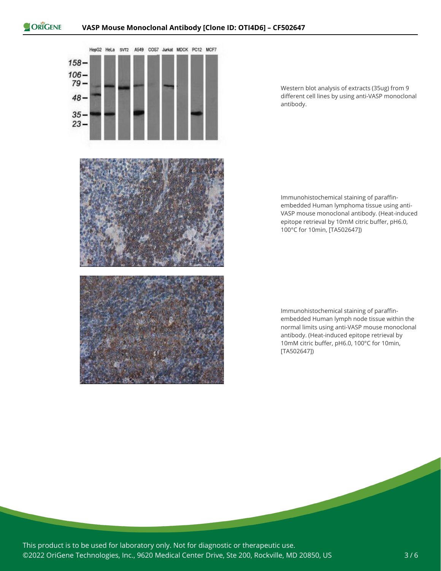

Western blot analysis of extracts (35ug) from 9 different cell lines by using anti-VASP monoclonal antibody.

Immunohistochemical staining of paraffinembedded Human lymphoma tissue using anti-VASP mouse monoclonal antibody. (Heat-induced epitope retrieval by 10mM citric buffer, pH6.0, 100°C for 10min, [TA502647])

Immunohistochemical staining of paraffinembedded Human lymph node tissue within the normal limits using anti-VASP mouse monoclonal antibody. (Heat-induced epitope retrieval by 10mM citric buffer, pH6.0, 100°C for 10min, [TA502647])

This product is to be used for laboratory only. Not for diagnostic or therapeutic use. ©2022 OriGene Technologies, Inc., 9620 Medical Center Drive, Ste 200, Rockville, MD 20850, US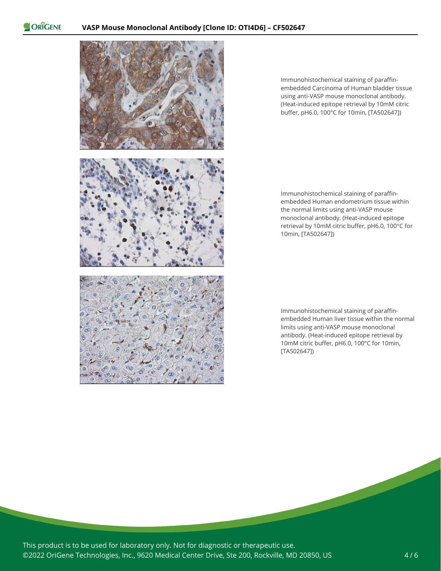ORIGENE



Immunohistochemical staining of paraffinembedded Carcinoma of Human bladder tissue using anti-VASP mouse monoclonal antibody. (Heat-induced epitope retrieval by 10mM citric buffer, pH6.0, 100°C for 10min, [TA502647])

Immunohistochemical staining of paraffinembedded Human endometrium tissue within the normal limits using anti-VASP mouse monoclonal antibody. (Heat-induced epitope retrieval by 10mM citric buffer, pH6.0, 100°C for 10min, [TA502647])

Immunohistochemical staining of paraffinembedded Human liver tissue within the normal limits using anti-VASP mouse monoclonal antibody. (Heat-induced epitope retrieval by 10mM citric buffer, pH6.0, 100°C for 10min, [TA502647])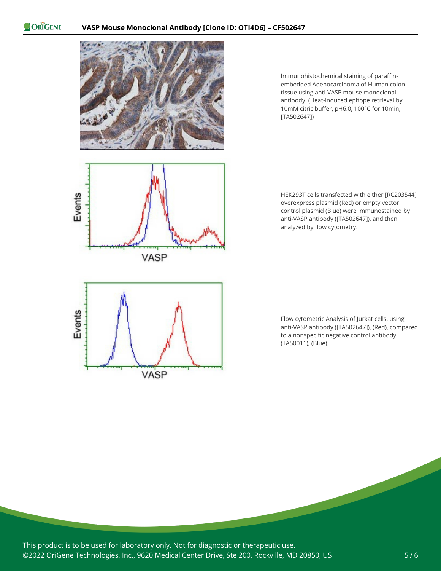ORIGENE



Immunohistochemical staining of paraffinembedded Adenocarcinoma of Human colon tissue using anti-VASP mouse monoclonal antibody. (Heat-induced epitope retrieval by 10mM citric buffer, pH6.0, 100°C for 10min, [TA502647])



HEK293T cells transfected with either [RC203544] overexpress plasmid (Red) or empty vector control plasmid (Blue) were immunostained by anti-VASP antibody ([TA502647]), and then analyzed by flow cytometry.



Flow cytometric Analysis of Jurkat cells, using anti-VASP antibody ([TA502647]), (Red), compared to a nonspecific negative control antibody (TA50011), (Blue).